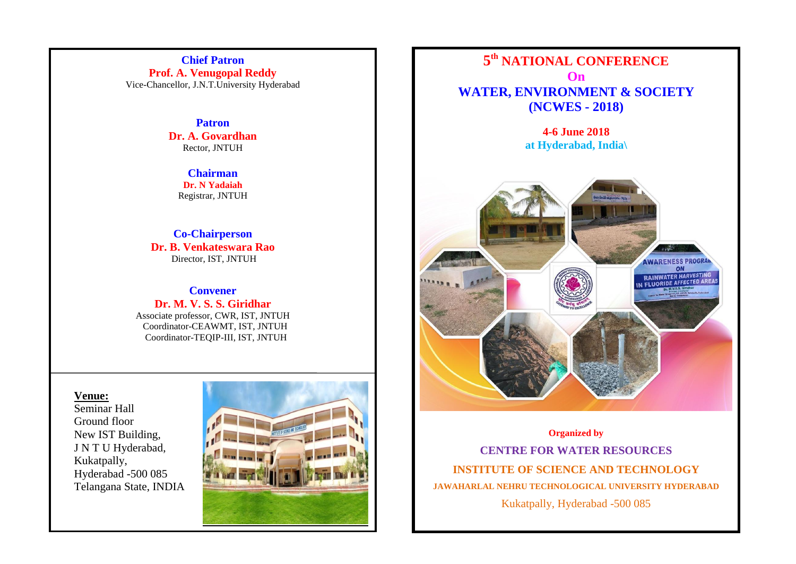**Chief Patron Prof. A. Venugopal Reddy** Vice-Chancellor, J.N.T.University Hyderabad

> **Patron Dr. A. Govardhan** Rector, JNTUH

> > **Chairman Dr. N Yadaiah** Registrar, JNTUH

**Co-Chairperson Dr. B. Venkateswara Rao** Director, IST, JNTUH

**Convener Dr. M. V. S. S. Giridhar** Associate professor, CWR, IST, JNTUH

 Coordinator-CEAWMT, IST, JNTUH Coordinator-TEQIP-III, IST, JNTUH

#### **Venue:**

Seminar Hall Ground floor New IST Building, J N T U Hyderabad, Kukatpally, Hyderabad -500 085 Telangana State, INDIA





**4-6 June 2018 at Hyderabad, India\**



**Organized by**

**CENTRE FOR WATER RESOURCES INSTITUTE OF SCIENCE AND TECHNOLOGY JAWAHARLAL NEHRU TECHNOLOGICAL UNIVERSITY HYDERABAD** Kukatpally, Hyderabad -500 085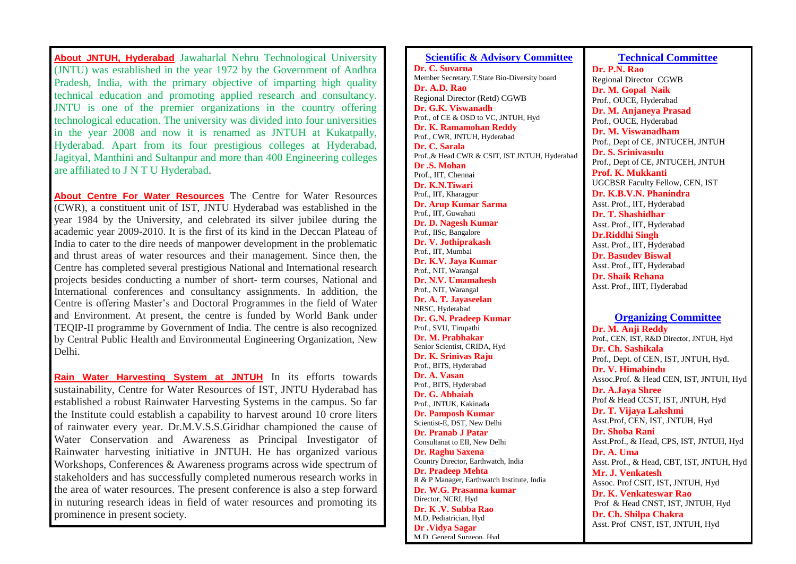**About JNTUH, Hyderabad** Jawaharlal Nehru Technological University (JNTU) was established in the year 1972 by the Government of Andhra Pradesh, India, with the primary objective of imparting high quality technical education and promoting applied research and consultancy. JNTU is one of the premier organizations in the country offering technological education. The university was divided into four universities in the year 2008 and now it is renamed as JNTUH at Kukatpally, Hyderabad. Apart from its four prestigious colleges at Hyderabad, Jagityal, Manthini and Sultanpur and more than 400 Engineering colleges are affiliated to J N T U Hyderabad.

**About Centre For Water Resources** The Centre for Water Resources (CWR), a constituent unit of IST, JNTU Hyderabad was established in the year 1984 by the University, and celebrated its silver jubilee during the academic year 2009-2010. It is the first of its kind in the Deccan Plateau of India to cater to the dire needs of manpower development in the problematic and thrust areas of water resources and their management. Since then, the Centre has completed several prestigious National and International research projects besides conducting a number of short- term courses, National and International conferences and consultancy assignments. In addition, the Centre is offering Master's and Doctoral Programmes in the field of Water and Environment. At present, the centre is funded by World Bank under TEQIP-II programme by Government of India. The centre is also recognized by Central Public Health and Environmental Engineering Organization, New Delhi.

**Rain Water Harvesting System at JNTUH** In its efforts towards sustainability, Centre for Water Resources of IST, JNTU Hyderabad has established a robust Rainwater Harvesting Systems in the campus. So far the Institute could establish a capability to harvest around 10 crore liters of rainwater every year. Dr.M.V.S.S.Giridhar championed the cause of Water Conservation and Awareness as Principal Investigator of Rainwater harvesting initiative in JNTUH. He has organized various Workshops, Conferences & Awareness programs across wide spectrum of stakeholders and has successfully completed numerous research works in the area of water resources. The present conference is also a step forward in nuturing research ideas in field of water resources and promoting its prominence in present society.

**Scientific & Advisory Committee Dr. C. Suvarna**  Member Secretary,T.State Bio-Diversity board **Dr. A.D. Rao** Regional Director (Retd) CGWB **Dr. G.K. Viswanadh** Prof., of CE & OSD to VC, JNTUH, Hyd **Dr. K. Ramamohan Reddy** Prof., CWR, JNTUH, Hyderabad **Dr. C. Sarala** Prof.,& Head CWR & CSIT, IST JNTUH, Hyderabad **Dr .S. Mohan** Prof., IIT, Chennai **Dr. K.N.Tiwari** Prof., IIT, Kharagpur **Dr. Arup Kumar Sarma** Prof., IIT, Guwahati **Dr. D. Nagesh Kumar** Prof., IISc, Bangalore **Dr. V. Jothiprakash** Prof., IIT, Mumbai **Dr. K.V. Jaya Kumar** Prof., NIT, Warangal **Dr. N.V. Umamahesh** Prof., NIT, Warangal **Dr. A. T. Jayaseelan** NRSC, Hyderabad **Dr. G.N. Pradeep Kumar** Prof., SVU, Tirupathi **Dr. M. Prabhakar** Senior Scientist, CRIDA, Hyd **Dr. K. Srinivas Raju** Prof., BITS, Hyderabad **Dr. A. Vasan** Prof., BITS, Hyderabad **Dr. G. Abbaiah** Prof., JNTUK, Kakinada **Dr. Pamposh Kumar** Scientist-E, DST, New Delhi **Dr. Pranab J Patar** Consultanat to EII, New Delhi **Dr. Raghu Saxena** Country Director, Earthwatch, India **Dr. Pradeep Mehta** R & P Manager, Earthwatch Institute, India **Dr. W.G. Prasanna kumar** Director, NCRI, Hyd **Dr. K .V. Subba Rao** M.D, Pediatrician, Hyd **Dr .Vidya Sagar** M.D, General Surgeon, Hyd

**Technical Committee Dr. P.N. Rao** Regional Director CGWB **Dr. M. Gopal Naik** Prof., OUCE, Hyderabad **Dr. M. Anjaneya Prasad** Prof., OUCE, Hyderabad **Dr. M. Viswanadham** Prof., Dept of CE, JNTUCEH, JNTUH **Dr. S. Srinivasulu**  Prof., Dept of CE, JNTUCEH, JNTUH **Prof. K. Mukkanti** UGCBSR Faculty Fellow, CEN, IST **Dr. K.B.V.N. Phanindra** Asst. Prof., IIT, Hyderabad **Dr. T. Shashidhar** Asst. Prof., IIT, Hyderabad **Dr.Riddhi Singh** Asst. Prof., IIT, Hyderabad **Dr. Basudev Biswal**  Asst. Prof., IIT, Hyderabad **Dr. Shaik Rehana** Asst. Prof., IIIT, Hyderabad

#### **Organizing Committee**

**Dr. M. Anji Reddy** Prof., CEN, IST, R&D Director, JNTUH, Hyd **Dr. Ch. Sashikala** Prof., Dept. of CEN, IST, JNTUH, Hyd. **Dr. V. Himabindu**  Assoc.Prof. & Head CEN, IST, JNTUH, Hyd **Dr. A.Jaya Shree** Prof & Head CCST, IST, JNTUH, Hyd **Dr. T. Vijaya Lakshmi** Asst.Prof, CEN, IST, JNTUH, Hyd **Dr. Shoba Rani** Asst.Prof., & Head, CPS, IST, JNTUH, Hyd **Dr. A. Uma** Asst. Prof., & Head, CBT, IST, JNTUH, Hyd **Mr. J. Venkatesh** Assoc. Prof CSIT, IST, JNTUH, Hyd **Dr. K. Venkateswar Rao**  Prof & Head CNST, IST, JNTUH, Hyd **Dr. Ch. Shilpa Chakra** Asst. Prof CNST, IST, JNTUH, Hyd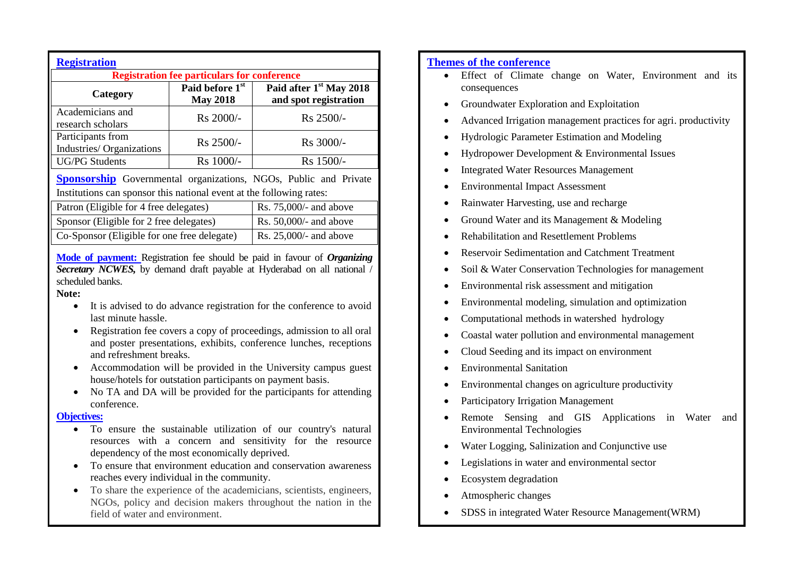| <b>Registration</b><br><b>Registration fee particulars for conference</b> |                                    |                                                              |  |
|---------------------------------------------------------------------------|------------------------------------|--------------------------------------------------------------|--|
| Category                                                                  | Paid before 1st<br><b>May 2018</b> | Paid after 1 <sup>st</sup> May 2018<br>and spot registration |  |
| Academicians and<br>research scholars                                     | Rs 2000/-                          | Rs 2500/-                                                    |  |
| Participants from<br>Industries/Organizations                             | Rs 2500/-                          | Rs 3000/-                                                    |  |
| <b>UG/PG</b> Students                                                     | Rs 1000/-                          | Rs 1500/-                                                    |  |

**Sponsorship** Governmental organizations, NGOs, Public and Private Institutions can sponsor this national event at the following rates:

| Patron (Eligible for 4 free delegates)      | Rs. $75,000/4$ and above  |
|---------------------------------------------|---------------------------|
| Sponsor (Eligible for 2 free delegates)     | Rs. $50,000/$ - and above |
| Co-Sponsor (Eligible for one free delegate) | Rs. $25,000/4$ and above  |

**Mode of payment:** Registration fee should be paid in favour of *Organizing Secretary NCWES,* by demand draft payable at Hyderabad on all national / scheduled banks.

**Note:**

- It is advised to do advance registration for the conference to avoid last minute hassle.
- Registration fee covers a copy of proceedings, admission to all oral and poster presentations, exhibits, conference lunches, receptions and refreshment breaks.
- Accommodation will be provided in the University campus guest house/hotels for outstation participants on payment basis.
- No TA and DA will be provided for the participants for attending conference.

#### **Objectives:**

- To ensure the sustainable utilization of our country's natural resources with a concern and sensitivity for the resource dependency of the most economically deprived.
- To ensure that environment education and conservation awareness reaches every individual in the community.
- To share the experience of the academicians, scientists, engineers, NGOs, policy and decision makers throughout the nation in the field of water and environment.

# **Themes of the conference**

- Effect of Climate change on Water, Environment and its consequences
- Groundwater Exploration and Exploitation
- Advanced Irrigation management practices for agri. productivity
- Hydrologic Parameter Estimation and Modeling
- Hydropower Development & Environmental Issues
- Integrated Water Resources Management
- Environmental Impact Assessment
- Rainwater Harvesting, use and recharge
- Ground Water and its Management & Modeling
- Rehabilitation and Resettlement Problems
- Reservoir Sedimentation and Catchment Treatment
- Soil & Water Conservation Technologies for management
- Environmental risk assessment and mitigation
- Environmental modeling, simulation and optimization
- Computational methods in watershed hydrology
- Coastal water pollution and environmental management
- Cloud Seeding and its impact on environment
- Environmental Sanitation
- Environmental changes on agriculture productivity
- Participatory Irrigation Management
- Remote Sensing and GIS Applications in Water and Environmental Technologies
- Water Logging, Salinization and Conjunctive use
- Legislations in water and environmental sector
- Ecosystem degradation
- Atmospheric changes
- SDSS in integrated Water Resource Management (WRM)